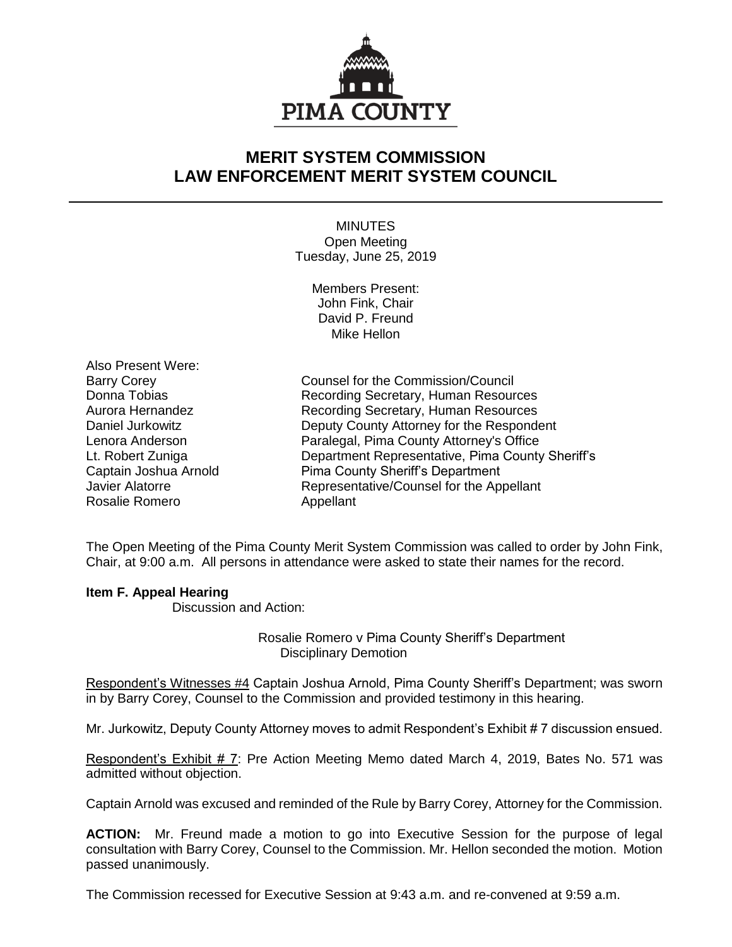

## **MERIT SYSTEM COMMISSION LAW ENFORCEMENT MERIT SYSTEM COUNCIL**

MINUTES Open Meeting Tuesday, June 25, 2019

> Members Present: John Fink, Chair David P. Freund Mike Hellon

Also Present Were: Rosalie Romero **Appellant** 

Barry Corey **Counsel for the Commission/Council** Donna Tobias **Recording Secretary, Human Resources** Aurora Hernandez Recording Secretary, Human Resources Daniel Jurkowitz Deputy County Attorney for the Respondent Lenora Anderson Paralegal, Pima County Attorney's Office Lt. Robert Zuniga Department Representative, Pima County Sheriff's Captain Joshua Arnold Pima County Sheriff's Department Javier Alatorre Representative/Counsel for the Appellant

The Open Meeting of the Pima County Merit System Commission was called to order by John Fink, Chair, at 9:00 a.m. All persons in attendance were asked to state their names for the record.

## **Item F. Appeal Hearing**

Discussion and Action:

Rosalie Romero v Pima County Sheriff's Department Disciplinary Demotion

Respondent's Witnesses #4 Captain Joshua Arnold, Pima County Sheriff's Department; was sworn in by Barry Corey, Counsel to the Commission and provided testimony in this hearing.

Mr. Jurkowitz, Deputy County Attorney moves to admit Respondent's Exhibit # 7 discussion ensued.

Respondent's Exhibit # 7: Pre Action Meeting Memo dated March 4, 2019, Bates No. 571 was admitted without objection.

Captain Arnold was excused and reminded of the Rule by Barry Corey, Attorney for the Commission.

**ACTION:** Mr. Freund made a motion to go into Executive Session for the purpose of legal consultation with Barry Corey, Counsel to the Commission. Mr. Hellon seconded the motion. Motion passed unanimously.

The Commission recessed for Executive Session at 9:43 a.m. and re-convened at 9:59 a.m.